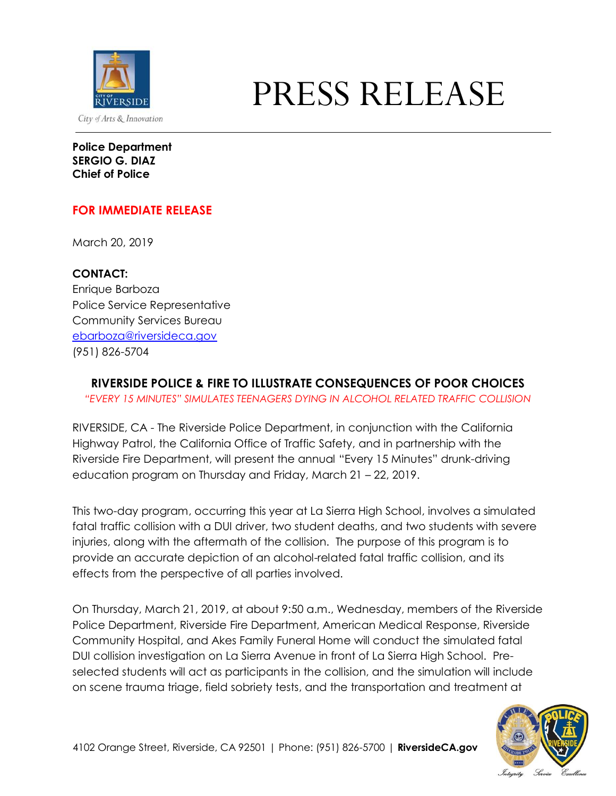

## PRESS RELEASE

**Police Department SERGIO G. DIAZ Chief of Police**

## **FOR IMMEDIATE RELEASE**

March 20, 2019

**CONTACT:** Enrique Barboza Police Service Representative Community Services Bureau [ebarboza@riversideca.gov](mailto:ebarboza@riversideca.gov) (951) 826-5704

## **RIVERSIDE POLICE & FIRE TO ILLUSTRATE CONSEQUENCES OF POOR CHOICES**

*"EVERY 15 MINUTES" SIMULATES TEENAGERS DYING IN ALCOHOL RELATED TRAFFIC COLLISION*

RIVERSIDE, CA - The Riverside Police Department, in conjunction with the California Highway Patrol, the California Office of Traffic Safety, and in partnership with the Riverside Fire Department, will present the annual "Every 15 Minutes" drunk-driving education program on Thursday and Friday, March 21 – 22, 2019.

This two-day program, occurring this year at La Sierra High School, involves a simulated fatal traffic collision with a DUI driver, two student deaths, and two students with severe injuries, along with the aftermath of the collision. The purpose of this program is to provide an accurate depiction of an alcohol-related fatal traffic collision, and its effects from the perspective of all parties involved.

On Thursday, March 21, 2019, at about 9:50 a.m., Wednesday, members of the Riverside Police Department, Riverside Fire Department, American Medical Response, Riverside Community Hospital, and Akes Family Funeral Home will conduct the simulated fatal DUI collision investigation on La Sierra Avenue in front of La Sierra High School. Preselected students will act as participants in the collision, and the simulation will include on scene trauma triage, field sobriety tests, and the transportation and treatment at